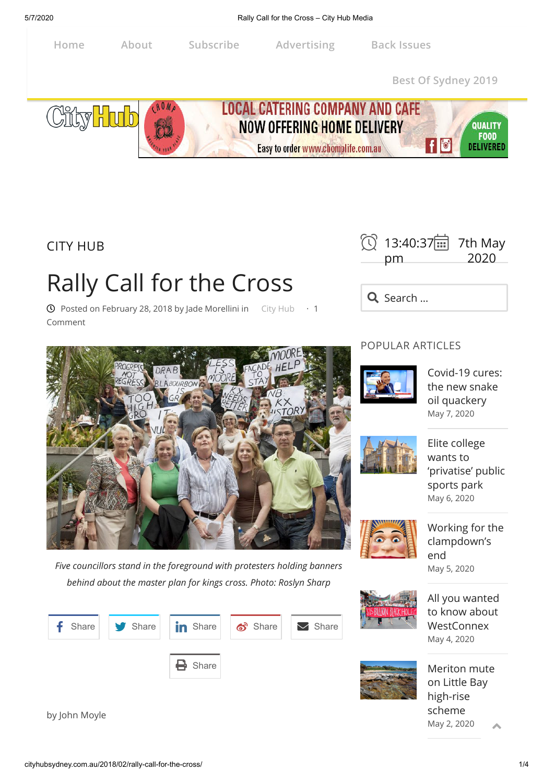## 5/7/2020 Rally Call for the Cross – City Hub Media

**LOCAL CATERING COMPANY AND CAFE** 

NOW OFFERING HOME DELIVERY

Easy to order www.chomplife.com.au

[City Hub](http://cityhubsydney.com.au/category/city-hub) [City News](http://cityhubsydney.com.au/category/city-news) [Write For Us. Find O](http://issuu.com/altmedia)ut How. [Independent](http://cityhubsydney.com.au/category/inner-west-independent) **Home About [Subscribe](http://cityhubsydney.com.au/subscribe/) [Advertising](http://cityhubsydney.com.au/advertising-with-city-hub-media/) Back Issues**



CITY HUB

**City Hub** 

## Rally Call for the Cross

 $\odot$  Posted on [February 28, 2018](http://cityhubsydney.com.au/2018/02/rally-call-for-the-cross/) by [Jade Morellini](http://cityhubsydney.com.au/author/jade-morellini/) in [City Hub](http://cityhubsydney.com.au/category/city-hub/)  $\cdot$  1 Comment



Q Search ...





wants to ['privatise' public](http://cityhubsydney.com.au/2020/05/elite-college-wants-to-privatise-public-sports-park/) sports park [May 6, 2020](http://cityhubsydney.com.au/2020/05/elite-college-wants-to-privatise-public-sports-park/)

[Working for the](http://cityhubsydney.com.au/2020/05/working-for-the-clampdowns-end/) clampdown's end [May 5, 2020](http://cityhubsydney.com.au/2020/05/working-for-the-clampdowns-end/)

[All you wanted](http://cityhubsydney.com.au/2020/05/all-you-wanted-to-know-about-westconnex/) to know about **WestConnex** [May 4, 2020](http://cityhubsydney.com.au/2020/05/all-you-wanted-to-know-about-westconnex/)

[Meriton mute](http://cityhubsydney.com.au/2020/05/meriton-mute-on-little-bay-high-rise-scheme/) on Little Bay high-rise scheme [May 2, 2020](http://cityhubsydney.com.au/2020/05/meriton-mute-on-little-bay-high-rise-scheme/)  $\blacktriangle$ 

by John Moyle











**Best Of [Sydney](http://cityhubsydney.com.au/2019/08/best-of-sydney-2019/) 2019**

 $\vert \vert \vert$   $\vert$ 

**QUALITY FOOD** 

DELIVERED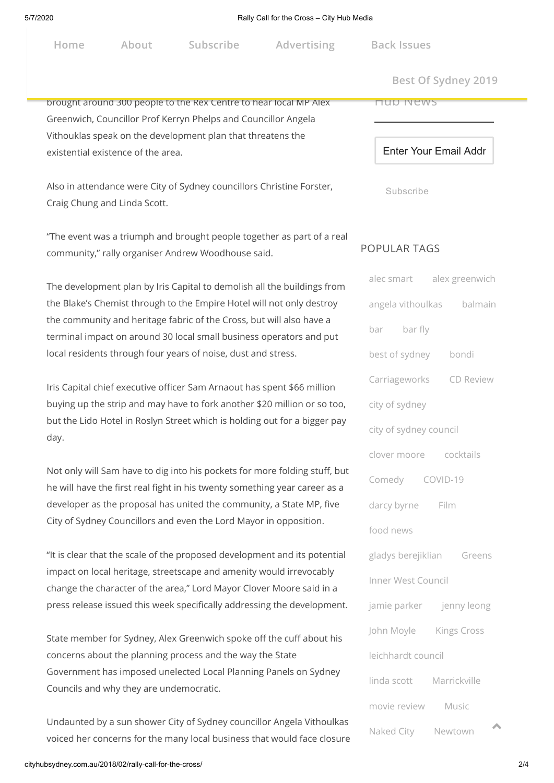|  | Home |  |
|--|------|--|
|  |      |  |

**Home About Subscribe Advertising Back [Issues](http://issuu.com/altmedia)**

 $Best Of Sydney 2019$ 

## brought around 300 people to the Rex Centre to hear local MP Alex Greenwich, Councillor Prof Kerryn Phelps and Councillor Angela Vithouklas speak on the development plan that threatens the existential existence of the area.

Also in attendance were City of Sydney councillors Christine Forster, Craig Chung and Linda Scott.

"The event was a triumph and brought people together as part of a real community," rally organiser Andrew Woodhouse said.

The development plan by Iris Capital to demolish all the buildings from the Blake's Chemist through to the Empire Hotel will not only destroy the community and heritage fabric of the Cross, but will also have a terminal impact on around 30 local small business operators and put local residents through four years of noise, dust and stress.

Iris Capital chief executive officer Sam Arnaout has spent \$66 million buying up the strip and may have to fork another \$20 million or so too, but the Lido Hotel in Roslyn Street which is holding out for a bigger pay day.

Not only will Sam have to dig into his pockets for more folding stuff, but he will have the first real fight in his twenty something year career as a developer as the proposal has united the community, a State MP, five City of Sydney Councillors and even the Lord Mayor in opposition.

"It is clear that the scale of the proposed development and its potential impact on local heritage, streetscape and amenity would irrevocably change the character of the area," Lord Mayor Clover Moore said in a press release issued this week specifically addressing the development.

State member for Sydney, Alex Greenwich spoke off the cuff about his concerns about the planning process and the way the State Government has imposed unelected Local Planning Panels on Sydney Councils and why they are undemocratic.

Undaunted by a sun shower City of Sydney councillor Angela Vithoulkas voiced her concerns for the many local business that would face closure Enter Your Email Addr

Subscribe

Hub News

## POPULAR TAGS

| alec smart alex greenwich |                           |  |  |  |  |  |
|---------------------------|---------------------------|--|--|--|--|--|
|                           | angela vithoulkas balmain |  |  |  |  |  |
| bar bar fly               |                           |  |  |  |  |  |
| best of sydney bondi      |                           |  |  |  |  |  |
|                           | Carriageworks CD Review   |  |  |  |  |  |
| city of sydney            |                           |  |  |  |  |  |
| city of sydney council    |                           |  |  |  |  |  |
| clover moore cocktails    |                           |  |  |  |  |  |
| Comedy COVID-19           |                           |  |  |  |  |  |
| darcy byrne Film          |                           |  |  |  |  |  |
| food news                 |                           |  |  |  |  |  |
| gladys berejiklian Greens |                           |  |  |  |  |  |
| Inner West Council        |                           |  |  |  |  |  |
|                           | jamie parker jenny leong  |  |  |  |  |  |
| John Moyle Kings Cross    |                           |  |  |  |  |  |
| leichhardt council        |                           |  |  |  |  |  |
| linda scott Marrickville  |                           |  |  |  |  |  |
| movie review              | Music                     |  |  |  |  |  |
| Naked City Newtown        | 木                         |  |  |  |  |  |